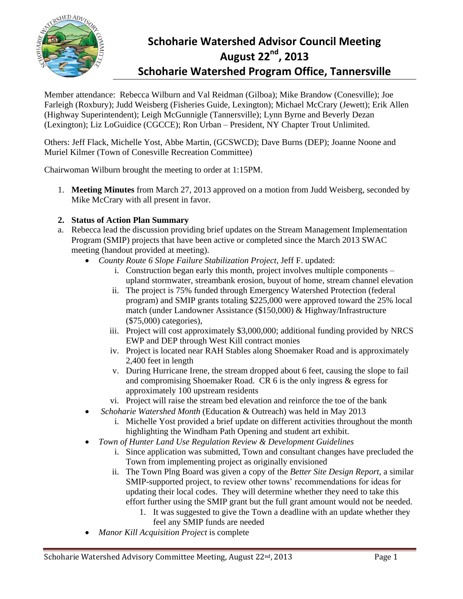

# **Schoharie Watershed Advisor Council Meeting August 22nd, 2013 Schoharie Watershed Program Office, Tannersville**

Member attendance: Rebecca Wilburn and Val Reidman (Gilboa); Mike Brandow (Conesville); Joe Farleigh (Roxbury); Judd Weisberg (Fisheries Guide, Lexington); Michael McCrary (Jewett); Erik Allen (Highway Superintendent); Leigh McGunnigle (Tannersville); Lynn Byrne and Beverly Dezan (Lexington); Liz LoGuidice (CGCCE); Ron Urban – President, NY Chapter Trout Unlimited.

Others: Jeff Flack, Michelle Yost, Abbe Martin, (GCSWCD); Dave Burns (DEP); Joanne Noone and Muriel Kilmer (Town of Conesville Recreation Committee)

Chairwoman Wilburn brought the meeting to order at 1:15PM.

1. **Meeting Minutes** from March 27, 2013 approved on a motion from Judd Weisberg, seconded by Mike McCrary with all present in favor.

### **2. Status of Action Plan Summary**

- a. Rebecca lead the discussion providing brief updates on the Stream Management Implementation Program (SMIP) projects that have been active or completed since the March 2013 SWAC meeting (handout provided at meeting).
	- *County Route 6 Slope Failure Stabilization Project*, Jeff F. updated:
		- i. Construction began early this month, project involves multiple components upland stormwater, streambank erosion, buyout of home, stream channel elevation
		- ii. The project is 75% funded through Emergency Watershed Protection (federal program) and SMIP grants totaling \$225,000 were approved toward the 25% local match (under Landowner Assistance (\$150,000) & Highway/Infrastructure (\$75,000) categories),
		- iii. Project will cost approximately \$3,000,000; additional funding provided by NRCS EWP and DEP through West Kill contract monies
		- iv. Project is located near RAH Stables along Shoemaker Road and is approximately 2,400 feet in length
		- v. During Hurricane Irene, the stream dropped about 6 feet, causing the slope to fail and compromising Shoemaker Road. CR 6 is the only ingress & egress for approximately 100 upstream residents
		- vi. Project will raise the stream bed elevation and reinforce the toe of the bank
	- *Schoharie Watershed Month* (Education & Outreach) was held in May 2013
		- i. Michelle Yost provided a brief update on different activities throughout the month highlighting the Windham Path Opening and student art exhibit.
	- *Town of Hunter Land Use Regulation Review & Development Guidelines*
		- i. Since application was submitted, Town and consultant changes have precluded the Town from implementing project as originally envisioned
		- ii. The Town Plng Board was given a copy of the *Better Site Design Report*, a similar SMIP-supported project, to review other towns' recommendations for ideas for updating their local codes. They will determine whether they need to take this effort further using the SMIP grant but the full grant amount would not be needed.
			- 1. It was suggested to give the Town a deadline with an update whether they feel any SMIP funds are needed
	- *Manor Kill Acquisition Project* is complete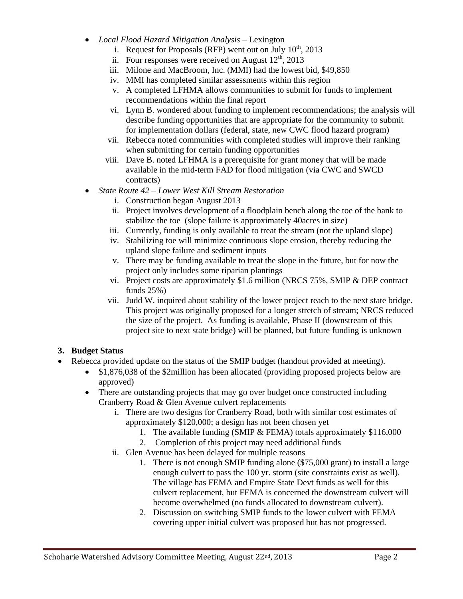- *Local Flood Hazard Mitigation Analysis* Lexington
	- i. Request for Proposals (RFP) went out on July  $10^{th}$ , 2013
	- ii. Four responses were received on August  $12<sup>th</sup>$ , 2013
	- iii. Milone and MacBroom, Inc. (MMI) had the lowest bid, \$49,850
	- iv. MMI has completed similar assessments within this region
	- v. A completed LFHMA allows communities to submit for funds to implement recommendations within the final report
	- vi. Lynn B. wondered about funding to implement recommendations; the analysis will describe funding opportunities that are appropriate for the community to submit for implementation dollars (federal, state, new CWC flood hazard program)
	- vii. Rebecca noted communities with completed studies will improve their ranking when submitting for certain funding opportunities
	- viii. Dave B. noted LFHMA is a prerequisite for grant money that will be made available in the mid-term FAD for flood mitigation (via CWC and SWCD contracts)
- *State Route 42 – Lower West Kill Stream Restoration*
	- i. Construction began August 2013
	- ii. Project involves development of a floodplain bench along the toe of the bank to stabilize the toe (slope failure is approximately 40acres in size)
	- iii. Currently, funding is only available to treat the stream (not the upland slope)
	- iv. Stabilizing toe will minimize continuous slope erosion, thereby reducing the upland slope failure and sediment inputs
	- v. There may be funding available to treat the slope in the future, but for now the project only includes some riparian plantings
	- vi. Project costs are approximately \$1.6 million (NRCS 75%, SMIP & DEP contract funds 25%)
	- vii. Judd W. inquired about stability of the lower project reach to the next state bridge. This project was originally proposed for a longer stretch of stream; NRCS reduced the size of the project. As funding is available, Phase II (downstream of this project site to next state bridge) will be planned, but future funding is unknown

# **3. Budget Status**

- Rebecca provided update on the status of the SMIP budget (handout provided at meeting).
	- \$1,876,038 of the \$2million has been allocated (providing proposed projects below are approved)
	- There are outstanding projects that may go over budget once constructed including Cranberry Road & Glen Avenue culvert replacements
		- i. There are two designs for Cranberry Road, both with similar cost estimates of approximately \$120,000; a design has not been chosen yet
			- 1. The available funding (SMIP & FEMA) totals approximately \$116,000
			- 2. Completion of this project may need additional funds
		- ii. Glen Avenue has been delayed for multiple reasons
			- 1. There is not enough SMIP funding alone (\$75,000 grant) to install a large enough culvert to pass the 100 yr. storm (site constraints exist as well). The village has FEMA and Empire State Devt funds as well for this culvert replacement, but FEMA is concerned the downstream culvert will become overwhelmed (no funds allocated to downstream culvert).
			- 2. Discussion on switching SMIP funds to the lower culvert with FEMA covering upper initial culvert was proposed but has not progressed.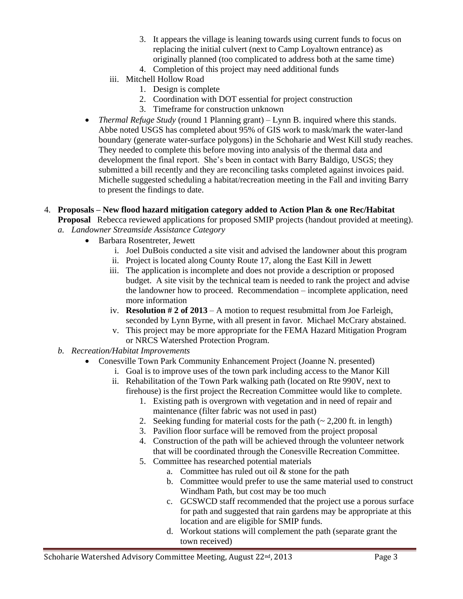- 3. It appears the village is leaning towards using current funds to focus on replacing the initial culvert (next to Camp Loyaltown entrance) as originally planned (too complicated to address both at the same time)
- 4. Completion of this project may need additional funds
- iii. Mitchell Hollow Road
	- 1. Design is complete
	- 2. Coordination with DOT essential for project construction
	- 3. Timeframe for construction unknown
- *Thermal Refuge Study* (round 1 Planning grant) Lynn B. inquired where this stands. Abbe noted USGS has completed about 95% of GIS work to mask/mark the water-land boundary (generate water-surface polygons) in the Schoharie and West Kill study reaches. They needed to complete this before moving into analysis of the thermal data and development the final report. She's been in contact with Barry Baldigo, USGS; they submitted a bill recently and they are reconciling tasks completed against invoices paid. Michelle suggested scheduling a habitat/recreation meeting in the Fall and inviting Barry to present the findings to date.
- 4. **Proposals – New flood hazard mitigation category added to Action Plan & one Rec/Habitat Proposal** Rebecca reviewed applications for proposed SMIP projects (handout provided at meeting).
	- *a. Landowner Streamside Assistance Category*
		- Barbara Rosentreter, Jewett
			- i. Joel DuBois conducted a site visit and advised the landowner about this program
			- ii. Project is located along County Route 17, along the East Kill in Jewett
			- iii. The application is incomplete and does not provide a description or proposed budget. A site visit by the technical team is needed to rank the project and advise the landowner how to proceed. Recommendation – incomplete application, need more information
			- iv. **Resolution # 2 of 2013** A motion to request resubmittal from Joe Farleigh, seconded by Lynn Byrne, with all present in favor. Michael McCrary abstained.
			- v. This project may be more appropriate for the FEMA Hazard Mitigation Program or NRCS Watershed Protection Program.
	- *b. Recreation/Habitat Improvements*
		- Conesville Town Park Community Enhancement Project (Joanne N. presented)
			- i. Goal is to improve uses of the town park including access to the Manor Kill
			- ii. Rehabilitation of the Town Park walking path (located on Rte 990V, next to firehouse) is the first project the Recreation Committee would like to complete.
				- 1. Existing path is overgrown with vegetation and in need of repair and maintenance (filter fabric was not used in past)
				- 2. Seeking funding for material costs for the path  $(-2,200)$  ft. in length)
				- 3. Pavilion floor surface will be removed from the project proposal
				- 4. Construction of the path will be achieved through the volunteer network that will be coordinated through the Conesville Recreation Committee.
				- 5. Committee has researched potential materials
					- a. Committee has ruled out oil  $&$  stone for the path
					- b. Committee would prefer to use the same material used to construct Windham Path, but cost may be too much
					- c. GCSWCD staff recommended that the project use a porous surface for path and suggested that rain gardens may be appropriate at this location and are eligible for SMIP funds.
					- d. Workout stations will complement the path (separate grant the town received)